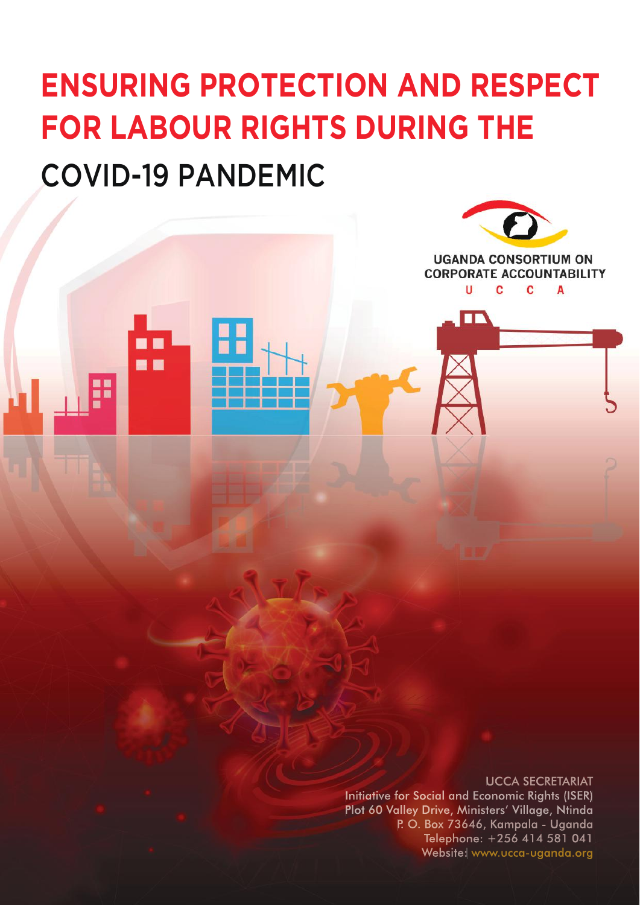# COVID-19 PANDEMIC **ENSURING PROTECTION AND RESPECT FOR LABOUR RIGHTS DURING THE**

. .

#### UCCA SECRETARIAT

**UGANDA CONSORTIUM ON CORPORATE ACCOUNTABILITY** 

C

A

C

u

ПF

Initiative for Social and Economic Rights (ISER) Plot 60 Valley Drive, Ministers' Village, Ntinda P. O. Box 73646, Kampala - Uganda Telephone: +256 414 581 041 Website: www.ucca-uganda.org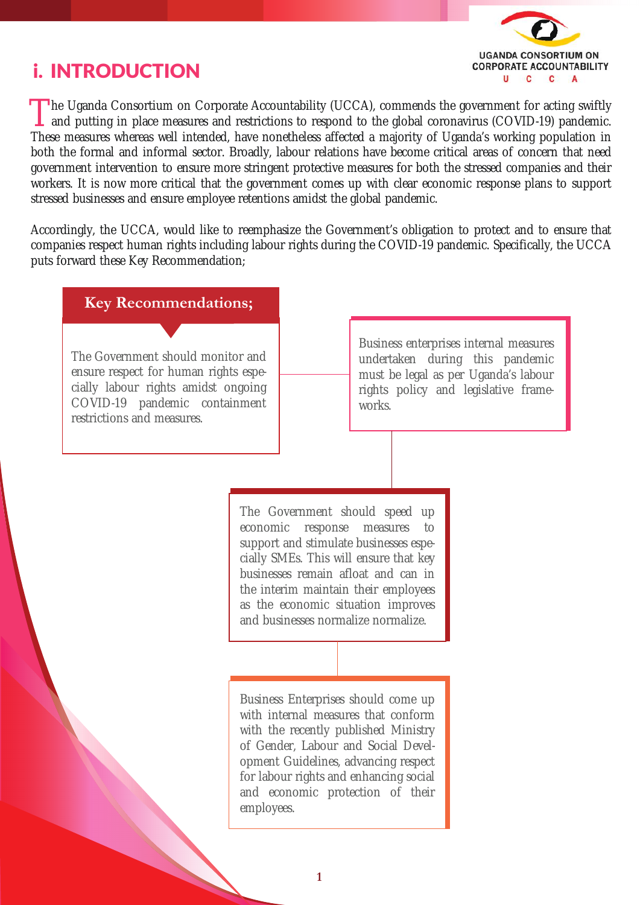## i. INTRODUCTION



The Uganda Consortium on Corporate Accountability (UCCA), commends the government for acting swiftly and putting in place measures and restrictions to respond to the global coronavirus (COVID-19) pandemic. and putting in place measures and restrictions to respond to the global coronavirus (COVID-19) pandemic. These measures whereas well intended, have nonetheless affected a majority of Uganda's working population in both the formal and informal sector. Broadly, labour relations have become critical areas of concern that need government intervention to ensure more stringent protective measures for both the stressed companies and their workers. It is now more critical that the government comes up with clear economic response plans to support stressed businesses and ensure employee retentions amidst the global pandemic.

Accordingly, the UCCA, would like to reemphasize the Government's obligation to protect and to ensure that companies respect human rights including labour rights during the COVID-19 pandemic. Specifically, the UCCA puts forward these Key Recommendation;

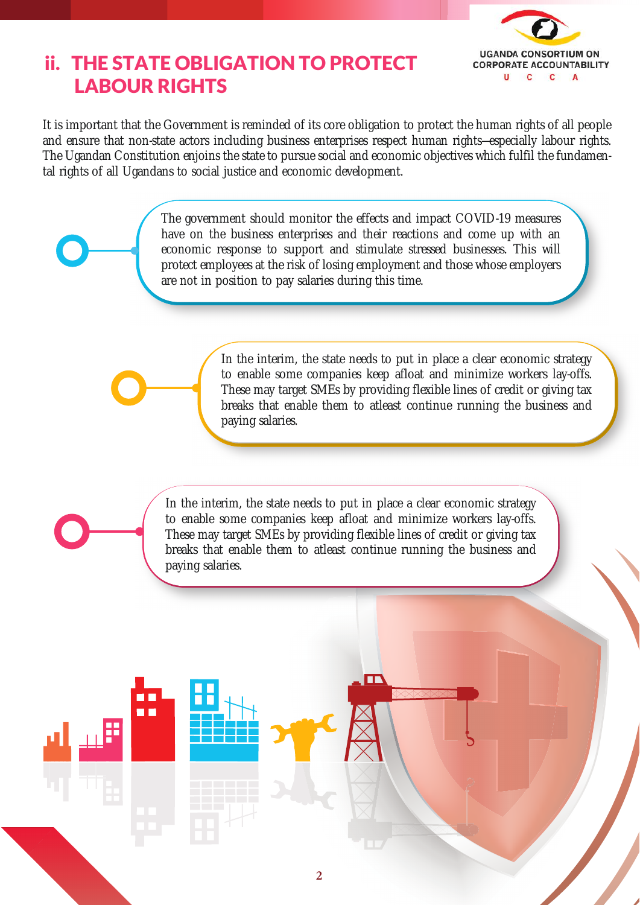

## ii. THE STATE OBLIGATION TO PROTECT LABOUR RIGHTS

It is important that the Government is reminded of its core obligation to protect the human rights of all people and ensure that non-state actors including business enterprises respect human rights—especially labour rights. The Ugandan Constitution enjoins the state to pursue social and economic objectives which fulfil the fundamental rights of all Ugandans to social justice and economic development.

> The government should monitor the effects and impact COVID-19 measures have on the business enterprises and their reactions and come up with an economic response to support and stimulate stressed businesses. This will protect employees at the risk of losing employment and those whose employers are not in position to pay salaries during this time.

> > In the interim, the state needs to put in place a clear economic strategy to enable some companies keep afloat and minimize workers lay-offs. These may target SMEs by providing flexible lines of credit or giving tax breaks that enable them to atleast continue running the business and paying salaries.

> > > XXXXXX

In the interim, the state needs to put in place a clear economic strategy to enable some companies keep afloat and minimize workers lay-offs. These may target SMEs by providing flexible lines of credit or giving tax breaks that enable them to atleast continue running the business and paying salaries.

. .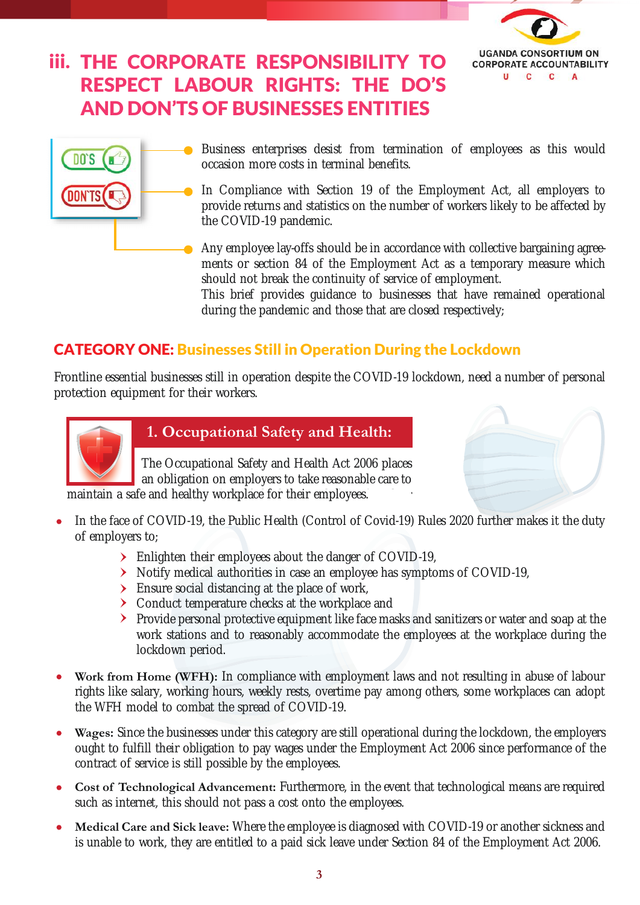

# iii. THE CORPORATE RESPONSIBILITY TO RESPECT LABOUR RIGHTS: THE DO'S AND DON'TS OF BUSINESSES ENTITIES



Business enterprises desist from termination of employees as this would occasion more costs in terminal benefits.

In Compliance with Section 19 of the Employment Act, all employers to provide returns and statistics on the number of workers likely to be affected by the COVID-19 pandemic.

Any employee lay-offs should be in accordance with collective bargaining agreements or section 84 of the Employment Act as a temporary measure which should not break the continuity of service of employment.

This brief provides guidance to businesses that have remained operational during the pandemic and those that are closed respectively;

## CATEGORY ONE: Businesses Still in Operation During the Lockdown

Frontline essential businesses still in operation despite the COVID-19 lockdown, need a number of personal protection equipment for their workers.



#### **1. Occupational Safety and Health:**

The Occupational Safety and Health Act 2006 places an obligation on employers to take reasonable care to



- $\epsilon$  $\bullet$ In the face of COVID-19, the Public Health (Control of Covid-19) Rules 2020 further makes it the duty of employers to;
	- Enlighten their employees about the danger of COVID-19,
	- Notify medical authorities in case an employee has symptoms of COVID-19,
	- Ensure social distancing at the place of work,
	- > Conduct temperature checks at the workplace and
	- Provide personal protective equipment like face masks and sanitizers or water and soap at the work stations and to reasonably accommodate the employees at the workplace during the lockdown period.
- **Work from Home (WFH):** In compliance with employment laws and not resulting in abuse of labour rights like salary, working hours, weekly rests, overtime pay among others, some workplaces can adopt the WFH model to combat the spread of COVID-19.
- **Wages:** Since the businesses under this category are still operational during the lockdown, the employers ought to fulfill their obligation to pay wages under the Employment Act 2006 since performance of the contract of service is still possible by the employees.
- **Cost of Technological Advancement:** Furthermore, in the event that technological means are required such as internet, this should not pass a cost onto the employees.
- **Medical Care and Sick leave:** Where the employee is diagnosed with COVID-19 or another sickness and is unable to work, they are entitled to a paid sick leave under Section 84 of the Employment Act 2006.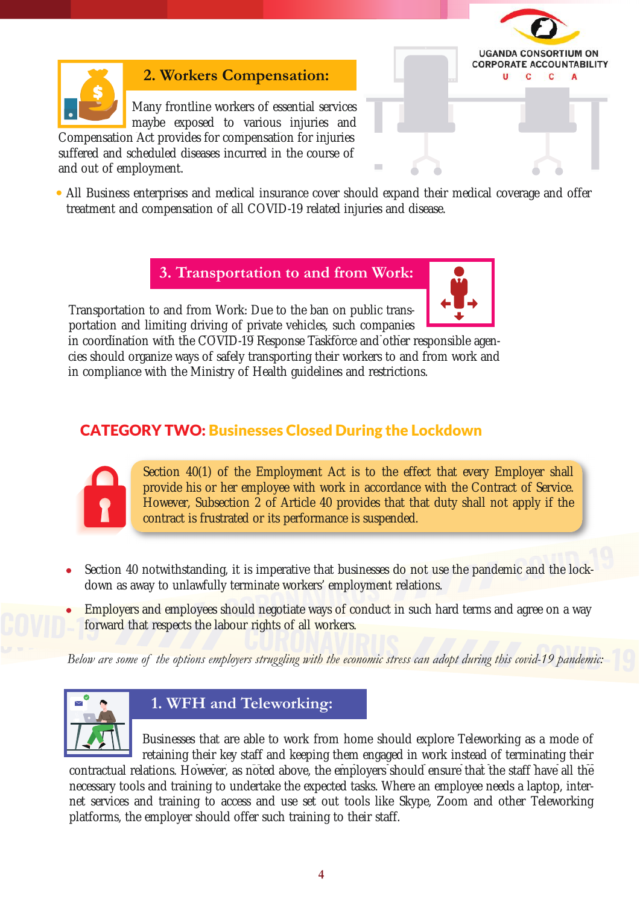

#### **2. Workers Compensation:**

Many frontline workers of essential services maybe exposed to various injuries and Compensation Act provides for compensation for injuries

suffered and scheduled diseases incurred in the course of and out of employment.



All Business enterprises and medical insurance cover should expand their medical coverage and offer treatment and compensation of all COVID-19 related injuries and disease.

**3. Transportation to and from Work:** 

Transportation to and from Work: Due to the ban on public transportation and limiting driving of private vehicles, such companies



in coordination with the COVID-19 Response Taskforce and other in coordination with the COVID-19 Response Taskforce and other responsible agencies should organize ways of safely transporting their workers to and from work and in compliance with the Ministry of Health guidelines and restrictions.

#### CATEGORY TWO: Businesses Closed During the Lockdown



Section 40(1) of the Employment Act is to the effect that every Employer shall provide his or her employee with work in accordance with the Contract of Service. However, Subsection 2 of Article 40 provides that that duty shall not apply if the contract is frustrated or its performance is suspended.

- Section 40 notwithstanding, it is imperative that businesses do not use the pandemic and the lockdown as away to unlawfully terminate workers' employment relations.
- Employers and employees should negotiate ways of conduct in such hard terms and agree on a way forward that respects the labour rights of all workers.

*Below are some of the options employers struggling with the economic stress can adopt during this covid-19 pandemic:*



#### **1. WFH and Teleworking:**

Businesses that are able to work from home should explore Teleworking as a mode of retaining their key staff and keeping them engaged in work instead of terminating their

contractual relations. However, as noted above, the employers should ensure that the staff necessary tools and training to undertake the expected tasks. Where an employee needs a laptop, internet services and training to access and use set out tools like Skype, Zoom and other Teleworking platforms, the employer should offer such training to their staff.